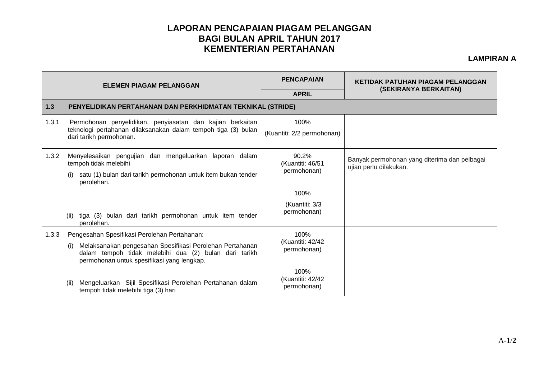## **LAPORAN PENCAPAIAN PIAGAM PELANGGAN BAGI BULAN APRIL TAHUN 2017 KEMENTERIAN PERTAHANAN**

## **LAMPIRAN A**

| <b>ELEMEN PIAGAM PELANGGAN</b> |                                                                                                                                                                        | <b>PENCAPAIAN</b>                        | <b>KETIDAK PATUHAN PIAGAM PELANGGAN</b><br>(SEKIRANYA BERKAITAN)       |  |  |  |
|--------------------------------|------------------------------------------------------------------------------------------------------------------------------------------------------------------------|------------------------------------------|------------------------------------------------------------------------|--|--|--|
|                                |                                                                                                                                                                        | <b>APRIL</b>                             |                                                                        |  |  |  |
| 1.3                            | PENYELIDIKAN PERTAHANAN DAN PERKHIDMATAN TEKNIKAL (STRIDE)                                                                                                             |                                          |                                                                        |  |  |  |
| 1.3.1                          | Permohonan penyelidikan, penyiasatan dan kajian berkaitan<br>teknologi pertahanan dilaksanakan dalam tempoh tiga (3) bulan<br>dari tarikh permohonan.                  | 100%<br>(Kuantiti: 2/2 permohonan)       |                                                                        |  |  |  |
| 1.3.2                          | Menyelesaikan pengujian dan mengeluarkan laporan dalam<br>tempoh tidak melebihi<br>satu (1) bulan dari tarikh permohonan untuk item bukan tender<br>perolehan.         | 90.2%<br>(Kuantiti: 46/51<br>permohonan) | Banyak permohonan yang diterima dan pelbagai<br>ujian perlu dilakukan. |  |  |  |
|                                |                                                                                                                                                                        | 100%                                     |                                                                        |  |  |  |
|                                | tiga (3) bulan dari tarikh permohonan untuk item tender<br>(ii)<br>perolehan.                                                                                          | (Kuantiti: 3/3<br>permohonan)            |                                                                        |  |  |  |
| 1.3.3                          | Pengesahan Spesifikasi Perolehan Pertahanan:                                                                                                                           | 100%<br>(Kuantiti: 42/42<br>permohonan)  |                                                                        |  |  |  |
|                                | Melaksanakan pengesahan Spesifikasi Perolehan Pertahanan<br>(i)<br>dalam tempoh tidak melebihi dua (2) bulan dari tarikh<br>permohonan untuk spesifikasi yang lengkap. |                                          |                                                                        |  |  |  |
|                                | Mengeluarkan Sijil Spesifikasi Perolehan Pertahanan dalam<br>(ii)<br>tempoh tidak melebihi tiga (3) hari                                                               | 100%<br>(Kuantiti: 42/42<br>permohonan)  |                                                                        |  |  |  |